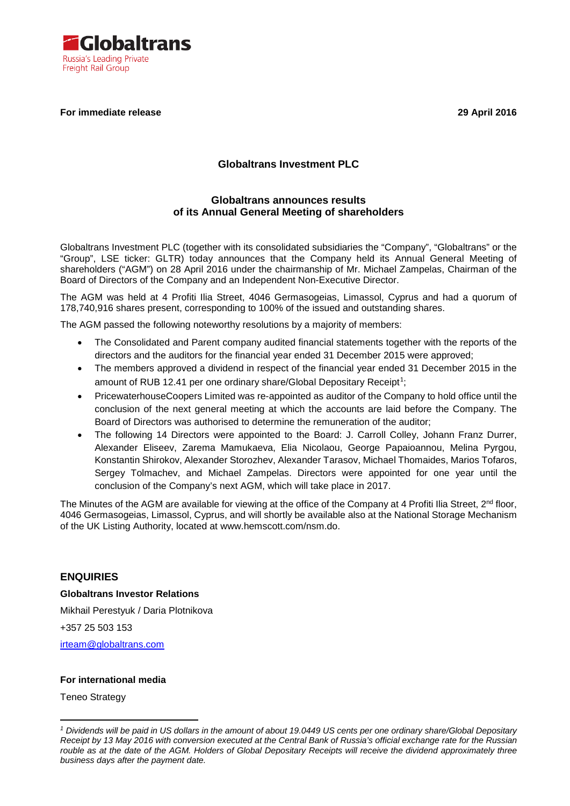

#### **For immediate release 29 April 2016**

## **Globaltrans Investment PLC**

### **Globaltrans announces results of its Annual General Meeting of shareholders**

Globaltrans Investment PLC (together with its consolidated subsidiaries the "Company", "Globaltrans" or the "Group", LSE ticker: GLTR) today announces that the Company held its Annual General Meeting of shareholders ("AGM") on 28 April 2016 under the chairmanship of Mr. Michael Zampelas, Chairman of the Board of Directors of the Company and an Independent Non-Executive Director.

The AGM was held at 4 Profiti Ilia Street, 4046 Germasogeias, Limassol, Cyprus and had a quorum of 178,740,916 shares present, corresponding to 100% of the issued and outstanding shares.

The AGM passed the following noteworthy resolutions by a majority of members:

- The Consolidated and Parent company audited financial statements together with the reports of the directors and the auditors for the financial year ended 31 December 2015 were approved;
- The members approved a dividend in respect of the financial year ended 31 December 2015 in the amount of RUB [1](#page-0-0)2.41 per one ordinary share/Global Depositary Receipt<sup>1</sup>;
- PricewaterhouseCoopers Limited was re-appointed as auditor of the Company to hold office until the conclusion of the next general meeting at which the accounts are laid before the Company. The Board of Directors was authorised to determine the remuneration of the auditor;
- The following 14 Directors were appointed to the Board: J. Carroll Colley, Johann Franz Durrer, Alexander Eliseev, Zarema Mamukaeva, Elia Nicolaou, George Papaioannou, Melina Pyrgou, Konstantin Shirokov, Alexander Storozhev, Alexander Tarasov, Michael Thomaides, Marios Tofaros, Sergey Tolmachev, and Michael Zampelas. Directors were appointed for one year until the conclusion of the Company's next AGM, which will take place in 2017.

The Minutes of the AGM are available for viewing at the office of the Company at 4 Profiti Ilia Street, 2<sup>nd</sup> floor, 4046 Germasogeias, Limassol, Cyprus, and will shortly be available also at the National Storage Mechanism of the UK Listing Authority, located at www.hemscott.com/nsm.do.

#### **ENQUIRIES**

**Globaltrans Investor Relations**

Mikhail Perestyuk / Daria Plotnikova

+357 25 503 153

[irteam@globaltrans.com](mailto:irteam@globaltrans.com)

#### **For international media**

Teneo Strategy

-

<span id="page-0-0"></span>*<sup>1</sup> Dividends will be paid in US dollars in the amount of about 19.0449 US cents per one ordinary share/Global Depositary Receipt by 13 May 2016 with conversion executed at the Central Bank of Russia's official exchange rate for the Russian rouble as at the date of the AGM. Holders of Global Depositary Receipts will receive the dividend approximately three business days after the payment date.*